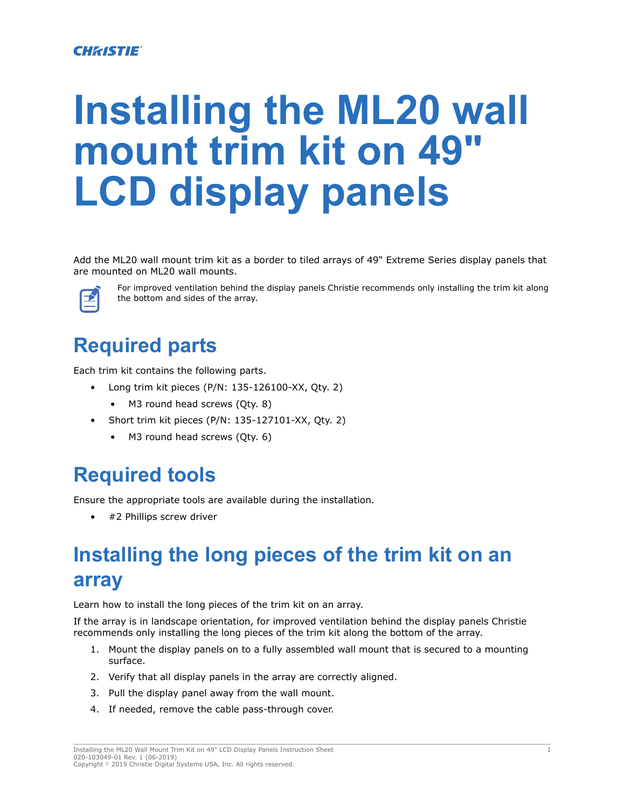#### **CHRISTIE**

# **Installing the ML20 wall mount trim kit on 49" LCD display panels**

Add the ML20 wall mount trim kit as a border to tiled arrays of 49" Extreme Series display panels that are mounted on ML20 wall mounts.



For improved ventilation behind the display panels Christie recommends only installing the trim kit along the bottom and sides of the array.

## **Required parts**

Each trim kit contains the following parts.

- Long trim kit pieces (P/N: 135-126100-XX, Qty. 2)
	- M3 round head screws (Qty. 8)
- Short trim kit pieces (P/N: 135-127101-XX, Qty. 2)
	- M3 round head screws (Qty. 6)

#### **Required tools**

Ensure the appropriate tools are available during the installation.

#2 Phillips screw driver

# **Installing the long pieces of the trim kit on an array**

Learn how to install the long pieces of the trim kit on an array.

If the array is in landscape orientation, for improved ventilation behind the display panels Christie recommends only installing the long pieces of the trim kit along the bottom of the array.

- 1. Mount the display panels on to a fully assembled wall mount that is secured to a mounting surface.
- 2. Verify that all display panels in the array are correctly aligned.
- 3. Pull the display panel away from the wall mount.
- 4. If needed, remove the cable pass-through cover.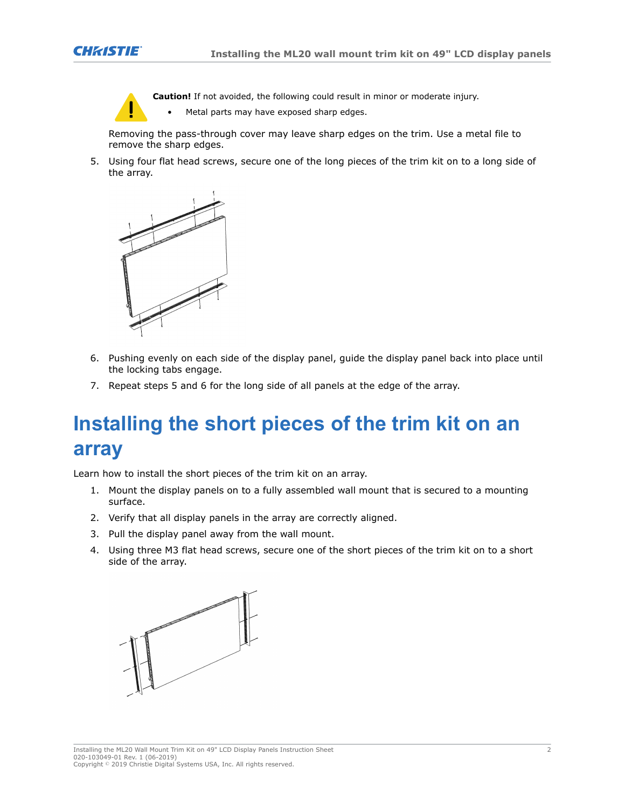

**Caution!** If not avoided, the following could result in minor or moderate injury.

Metal parts may have exposed sharp edges.

Removing the pass-through cover may leave sharp edges on the trim. Use a metal file to remove the sharp edges.

5. Using four flat head screws, secure one of the long pieces of the trim kit on to a long side of the array.



- 6. Pushing evenly on each side of the display panel, guide the display panel back into place until the locking tabs engage.
- 7. Repeat steps 5 and 6 for the long side of all panels at the edge of the array.

## **Installing the short pieces of the trim kit on an array**

Learn how to install the short pieces of the trim kit on an array.

- 1. Mount the display panels on to a fully assembled wall mount that is secured to a mounting surface.
- 2. Verify that all display panels in the array are correctly aligned.
- 3. Pull the display panel away from the wall mount.
- 4. Using three M3 flat head screws, secure one of the short pieces of the trim kit on to a short side of the array.